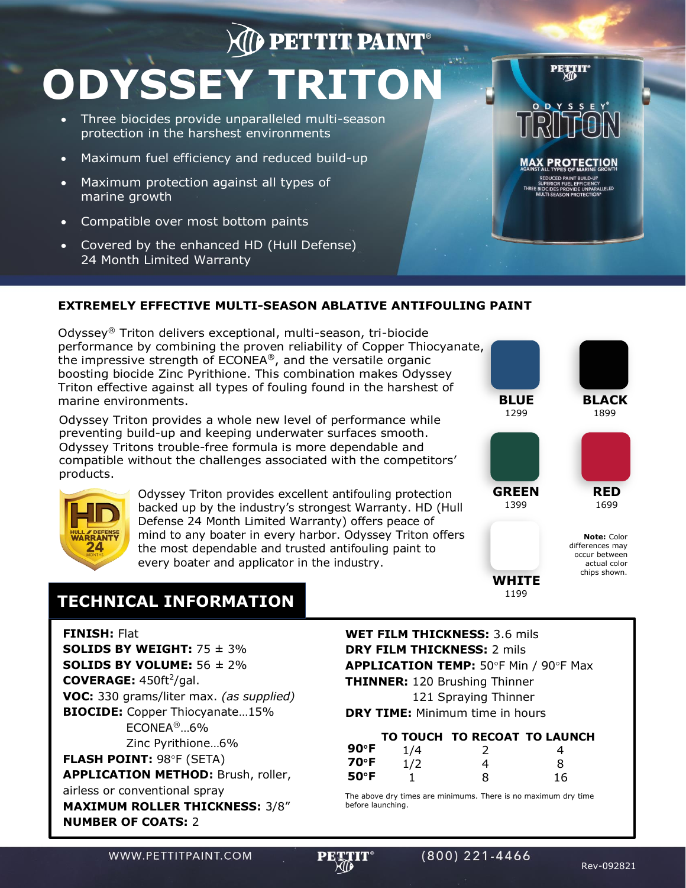# **AD PETTIT PAINT ODYSSEY TRITON**

- Three biocides provide unparalleled multi-season protection in the harshest environments
- Maximum fuel efficiency and reduced build-up
- Maximum protection against all types of marine growth
- Compatible over most bottom paints
- Covered by the enhanced HD (Hull Defense) 24 Month Limited Warranty



#### **EXTREMELY EFFECTIVE MULTI-SEASON ABLATIVE ANTIFOULING PAINT**

Odyssey® Triton delivers exceptional, multi-season, tri-biocide performance by combining the proven reliability of Copper Thiocyanate, the impressive strength of ECONEA®, and the versatile organic boosting biocide Zinc Pyrithione. This combination makes Odyssey Triton effective against all types of fouling found in the harshest of marine environments. **BLUE**

Odyssey Triton provides a whole new level of performance while preventing build-up and keeping underwater surfaces smooth. Odyssey Tritons trouble-free formula is more dependable and compatible without the challenges associated with the competitors' products.



Odyssey Triton provides excellent antifouling protection backed up by the industry's strongest Warranty. HD (Hull Defense 24 Month Limited Warranty) offers peace of mind to any boater in every harbor. Odyssey Triton offers the most dependable and trusted antifouling paint to every boater and applicator in the industry.



**GREEN** 1399

**WHITE** 1199



**RED**

chips shown.

## **TECHNICAL INFORMATION**

**FINISH:** Flat

**SOLIDS BY WEIGHT:** 75 ± 3% **SOLIDS BY VOLUME:** 56 ± 2% **COVERAGE:** 450ft<sup>2</sup>/gal. **VOC:** 330 grams/liter max. *(as supplied)* **BIOCIDE:** Copper Thiocyanate…15% ECONEA®…6% Zinc Pyrithione…6% **FLASH POINT: 98°F (SETA) APPLICATION METHOD:** Brush, roller, airless or conventional spray **MAXIMUM ROLLER THICKNESS:** 3/8" **NUMBER OF COATS:** 2

### **WET FILM THICKNESS:** 3.6 mils **DRY FILM THICKNESS:** 2 mils APPLICATION TEMP: 50°F Min / 90°F Max

**THINNER:** 120 Brushing Thinner 121 Spraying Thinner

**DRY TIME:** Minimum time in hours

1

|                |     | TO TOUCH TO RECOAT TO LAUNCH |   |
|----------------|-----|------------------------------|---|
| $90^{\circ}$ F | 1/4 |                              |   |
| 70°F           | 1/2 |                              | 8 |

8

The above dry times are minimums. There is no maximum dry time before launching.

WWW.PETTITPAINT.COM



**50F**

16